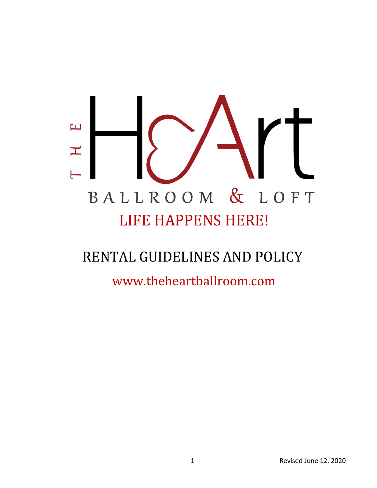# $\overline{\mathbf{L}}$  $\pm$ BALLROOM & LOFT LIFE HAPPENS HERE!

## RENTAL GUIDELINES AND POLICY

www.theheartballroom.com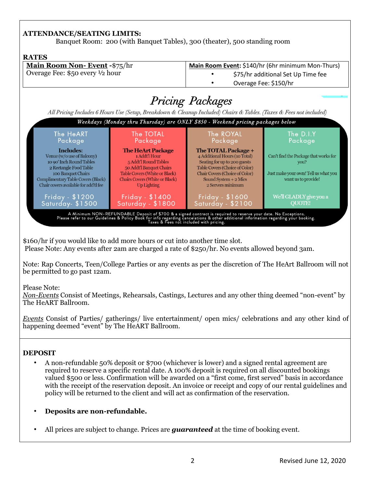#### **ATTENDANCE/SEATING LIMITS:**

Banquet Room: 200 (with Banquet Tables), 300 (theater), 500 standing room

#### **RATES Main Room Non- Event -**\$75/hr **Main Room Event:** \$140/hr (6hr minimum Mon-Thurs) Overage Fee: \$50 every ½ hour • \$75/hr additional Set Up Time fee • Overage Fee: \$150/hr **Pricing Packages** All Pricing Includes 6 Hours Use (Setup, Breakdown & Cleanup Included) Chairs & Tables. (Taxes & Fees not included) Weekdays (Monday thru Thursday) are ONLY \$850 - Weekend pricing packages below The HeART The TOTAL The ROYAL The D.I.Y Package Package Package Package **Includes: The HeArt Package** The TOTAL Package + 1 Addt'l Hour Venue (w/o use of Balcony) 4 Additional Hours (10 Total) Can't find the Package that works for 10 90' Inch Round Tables 5 Addt'l Round Tables Seating for up to 200 guests vou? 2 Rectangle Food Table 50 Addt'l Banquet Chairs Table Covers (Choice of Color) Table Covers (White or Black) Just make your own! Tell us what you 100 Banquet Chairs Chair Covers (Choice of Color) Complimentary Table Covers (Black) **Chairs Covers (White or Black)** Sound System + 2 Mics want us to provide! Chair covers available for add'tl fee **Up Lighting** 2 Servers minimum Friday - \$1200 Friday - \$1400 We'll GLADLY give you a Friday - \$1600 Saturday - \$1800  $\sf Saturday \cdot \$2100$ Saturday-\$1500 **OUOTE!** A Minimum NON-REFUNDABLE Deposit of \$700 & a signed contract is required to reserve your date. No Exceptions.<br>Please refer to our Guidelines & Policy Book for info regarding cancelations & other additional information rega

\$160/hr if you would like to add more hours or cut into another time slot. Please Note: Any events after 2am are charged a rate of \$250/hr. No events allowed beyond 3am.

Note: Rap Concerts, Teen/College Parties or any events as per the discretion of The HeArt Ballroom will not be permitted to go past 12am.

Please Note:

*Non-Events* Consist of Meetings, Rehearsals, Castings, Lectures and any other thing deemed "non-event" by The HeART Ballroom.

*Events* Consist of Parties/ gatherings/ live entertainment/ open mics/ celebrations and any other kind of happening deemed "event" by The HeART Ballroom.

#### **DEPOSIT**

- A non-refundable 50% deposit or \$700 (whichever is lower) and a signed rental agreement are required to reserve a specific rental date. A 100% deposit is required on all discounted bookings valued \$500 or less. Confirmation will be awarded on a "first come, first served" basis in accordance with the receipt of the reservation deposit. An invoice or receipt and copy of our rental guidelines and policy will be returned to the client and will act as confirmation of the reservation.
- **Deposits are non-refundable.**
- All prices are subject to change. Prices are *guaranteed* at the time of booking event.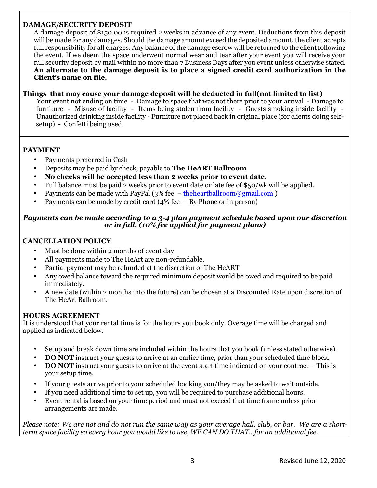#### **DAMAGE/SECURITY DEPOSIT**

A damage deposit of \$150.00 is required 2 weeks in advance of any event. Deductions from this deposit will be made for any damages. Should the damage amount exceed the deposited amount, the client accepts full responsibility for all charges. Any balance of the damage escrow will be returned to the client following the event. If we deem the space underwent normal wear and tear after your event you will receive your full security deposit by mail within no more than 7 Business Days after you event unless otherwise stated. **An alternate to the damage deposit is to place a signed credit card authorization in the Client's name on file.**

#### **Things that may cause your damage deposit will be deducted in full(not limited to list)**

Your event not ending on time - Damage to space that was not there prior to your arrival - Damage to furniture - Misuse of facility - Items being stolen from facility - Guests smoking inside facility - Unauthorized drinking inside facility - Furniture not placed back in original place (for clients doing selfsetup) - Confetti being used.

#### **PAYMENT**

- Payments preferred in Cash
- Deposits may be paid by check, payable to **The HeART Ballroom**
- **No checks will be accepted less than 2 weeks prior to event date.**
- Full balance must be paid 2 weeks prior to event date or late fee of \$50/wk will be applied.
- Payments can be made with PayPal  $(3%$  fee theheartballroom@gmail.com )
- Payments can be made by credit card  $(4\%$  fee By Phone or in person)

#### *Payments can be made according to a 3-4 plan payment schedule based upon our discretion or in full. (10% fee applied for payment plans)*

#### **CANCELLATION POLICY**

- Must be done within 2 months of event day
- All payments made to The HeArt are non-refundable.
- Partial payment may be refunded at the discretion of The HeART
- Any owed balance toward the required minimum deposit would be owed and required to be paid immediately.
- A new date (within 2 months into the future) can be chosen at a Discounted Rate upon discretion of The HeArt Ballroom.

#### **HOURS AGREEMENT**

It is understood that your rental time is for the hours you book only. Overage time will be charged and applied as indicated below.

- Setup and break down time are included within the hours that you book (unless stated otherwise).
- **DO NOT** instruct your guests to arrive at an earlier time, prior than your scheduled time block.
- **DO NOT** instruct your guests to arrive at the event start time indicated on your contract This is your setup time.
- If your guests arrive prior to your scheduled booking you/they may be asked to wait outside.
- If you need additional time to set up, you will be required to purchase additional hours.
- Event rental is based on your time period and must not exceed that time frame unless prior arrangements are made.

*Please note: We are not and do not run the same way as your average hall, club, or bar. We are a shortterm space facility so every hour you would like to use, WE CAN DO THAT…for an additional fee.*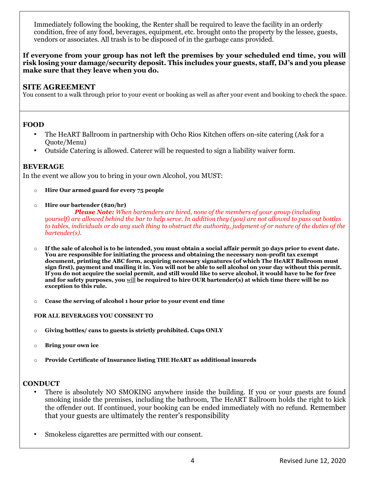Immediately following the booking, the Renter shall be required to leave the facility in an orderly condition, free of any food, beverages, equipment, etc. brought onto the property by the lessee, guests, vendors or associates. All trash is to be disposed of in the garbage cans provided.

**If everyone from your group has not left the premises by your scheduled end time, you will risk losing your damage/security deposit. This includes your guests, staff, DJ's and you please make sure that they leave when you do.**

#### **SITE AGREEMENT**

You consent to a walk through prior to your event or booking as well as after your event and booking to check the space.

#### **FOOD**

- The HeART Ballroom in partnership with Ocho Rios Kitchen offers on-site catering (Ask for a Quote/Menu)
- Outside Catering is allowed. Caterer will be requested to sign a liability waiver form.

#### **BEVERAGE**

In the event we allow you to bring in your own Alcohol, you MUST:

- o **Hire Our armed guard for every 75 people**
- o **Hire our bartender (\$20/hr)**

 *Please Note: When bartenders are hired, none of the members of your group (including yourself) are allowed behind the bar to help serve. In addition they (you) are not allowed to pass out bottles to tables, individuals or do any such thing to obstruct the authority, judgment of or nature of the duties of the bartender(s).* 

- o **If the sale of alcohol is to be intended, you must obtain a social affair permit 30 days prior to event date. You are responsible for initiating the process and obtaining the necessary non-profit tax exempt document, printing the ABC form, acquiring necessary signatures (of which The HeART Ballroom must sign first), payment and mailing it in. You will not be able to sell alcohol on your day without this permit. If you do not acquire the social permit, and still would like to serve alcohol, it would have to be for free and for safety purposes, you** will **be required to hire OUR bartender(s) at which time there will be no exception to this rule.**
- o **Cease the serving of alcohol 1 hour prior to your event end time**

**FOR ALL BEVERAGES YOU CONSENT TO** 

- o **Giving bottles/ cans to guests is strictly prohibited. Cups ONLY**
- o **Bring your own ice**
- o **Provide Certificate of Insurance listing THE HeART as additional insureds**

#### **CONDUCT**

- There is absolutely NO SMOKING anywhere inside the building. If you or your guests are found smoking inside the premises, including the bathroom, The HeART Ballroom holds the right to kick the offender out. If continued, your booking can be ended immediately with no refund. Remember that your guests are ultimately the renter's responsibility
- Smokeless cigarettes are permitted with our consent.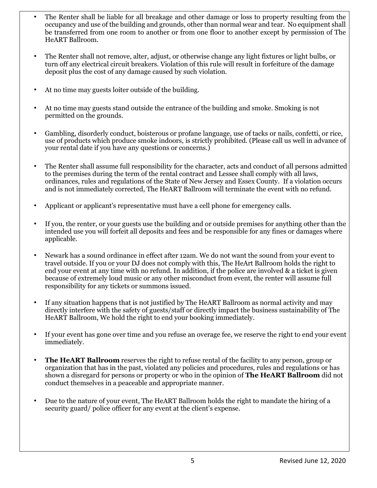- The Renter shall be liable for all breakage and other damage or loss to property resulting from the occupancy and use of the building and grounds, other than normal wear and tear. No equipment shall be transferred from one room to another or from one floor to another except by permission of The HeART Ballroom.
- The Renter shall not remove, alter, adjust, or otherwise change any light fixtures or light bulbs, or turn off any electrical circuit breakers. Violation of this rule will result in forfeiture of the damage deposit plus the cost of any damage caused by such violation.
- At no time may guests loiter outside of the building.
- At no time may guests stand outside the entrance of the building and smoke. Smoking is not permitted on the grounds.
- Gambling, disorderly conduct, boisterous or profane language, use of tacks or nails, confetti, or rice, use of products which produce smoke indoors, is strictly prohibited. (Please call us well in advance of your rental date if you have any questions or concerns.)
- The Renter shall assume full responsibility for the character, acts and conduct of all persons admitted to the premises during the term of the rental contract and Lessee shall comply with all laws, ordinances, rules and regulations of the State of New Jersey and Essex County. If a violation occurs and is not immediately corrected, The HeART Ballroom will terminate the event with no refund.
- Applicant or applicant's representative must have a cell phone for emergency calls.
- If you, the renter, or your guests use the building and or outside premises for anything other than the intended use you will forfeit all deposits and fees and be responsible for any fines or damages where applicable.
- Newark has a sound ordinance in effect after 12am. We do not want the sound from your event to travel outside. If you or your DJ does not comply with this, The HeArt Ballroom holds the right to end your event at any time with no refund. In addition, if the police are involved & a ticket is given because of extremely loud music or any other misconduct from event, the renter will assume full responsibility for any tickets or summons issued.
- If any situation happens that is not justified by The HeART Ballroom as normal activity and may directly interfere with the safety of guests/staff or directly impact the business sustainability of The HeART Ballroom, We hold the right to end your booking immediately.
- If your event has gone over time and you refuse an overage fee, we reserve the right to end your event immediately.
- **The HeART Ballroom** reserves the right to refuse rental of the facility to any person, group or organization that has in the past, violated any policies and procedures, rules and regulations or has shown a disregard for persons or property or who in the opinion of **The HeART Ballroom** did not conduct themselves in a peaceable and appropriate manner.
- Due to the nature of your event, The HeART Ballroom holds the right to mandate the hiring of a security guard/ police officer for any event at the client's expense.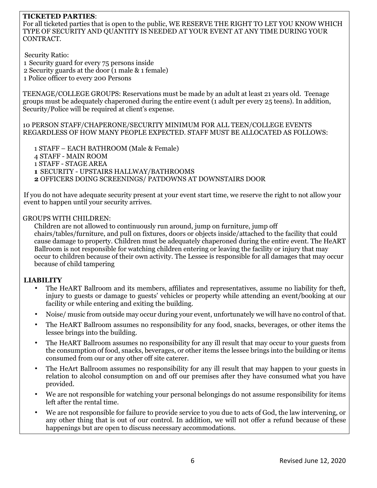#### **TICKETED PARTIES**:

For all ticketed parties that is open to the public, WE RESERVE THE RIGHT TO LET YOU KNOW WHICH TYPE OF SECURITY AND QUANTITY IS NEEDED AT YOUR EVENT AT ANY TIME DURING YOUR CONTRACT.

Security Ratio:

1 Security guard for every 75 persons inside

2 Security guards at the door (1 male & 1 female)

1 Police officer to every 200 Persons

TEENAGE/COLLEGE GROUPS: Reservations must be made by an adult at least 21 years old. Teenage groups must be adequately chaperoned during the entire event (1 adult per every 25 teens). In addition, Security/Police will be required at client's expense.

10 PERSON STAFF/CHAPERONE/SECURITY MINIMUM FOR ALL TEEN/COLLEGE EVENTS REGARDLESS OF HOW MANY PEOPLE EXPECTED. STAFF MUST BE ALLOCATED AS FOLLOWS:

1 STAFF – EACH BATHROOM (Male & Female) 4 STAFF - MAIN ROOM 1 STAFF - STAGE AREA **1** SECURITY - UPSTAIRS HALLWAY/BATHROOMS **2** OFFICERS DOING SCREENINGS/ PATDOWNS AT DOWNSTAIRS DOOR

If you do not have adequate security present at your event start time, we reserve the right to not allow your event to happen until your security arrives.

#### GROUPS WITH CHILDREN:

Children are not allowed to continuously run around, jump on furniture, jump off chairs/tables/furniture, and pull on fixtures, doors or objects inside/attached to the facility that could cause damage to property. Children must be adequately chaperoned during the entire event. The HeART Ballroom is not responsible for watching children entering or leaving the facility or injury that may occur to children because of their own activity. The Lessee is responsible for all damages that may occur because of child tampering

#### **LIABILITY**

- The HeART Ballroom and its members, affiliates and representatives, assume no liability for theft, injury to guests or damage to guests' vehicles or property while attending an event/booking at our facility or while entering and exiting the building.
- Noise/ music from outside may occur during your event, unfortunately we will have no control of that.
- The HeART Ballroom assumes no responsibility for any food, snacks, beverages, or other items the lessee brings into the building.
- The HeART Ballroom assumes no responsibility for any ill result that may occur to your guests from the consumption of food, snacks, beverages, or other items the lessee brings into the building or items consumed from our or any other off site caterer.
- The HeArt Ballroom assumes no responsibility for any ill result that may happen to your guests in relation to alcohol consumption on and off our premises after they have consumed what you have provided.
- We are not responsible for watching your personal belongings do not assume responsibility for items left after the rental time.
- We are not responsible for failure to provide service to you due to acts of God, the law intervening, or any other thing that is out of our control. In addition, we will not offer a refund because of these happenings but are open to discuss necessary accommodations.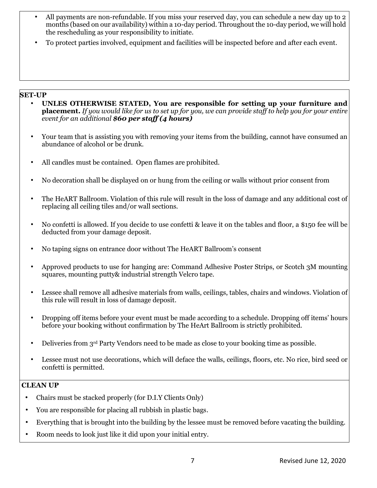- All payments are non-refundable. If you miss your reserved day, you can schedule a new day up to 2 months (based on our availability) within a 10-day period. Throughout the 10-day period, we will hold the rescheduling as your responsibility to initiate.
- To protect parties involved, equipment and facilities will be inspected before and after each event.

#### **SET-UP**

- **UNLES OTHERWISE STATED, You are responsible for setting up your furniture and placement.** *If you would like for us to set up for you, we can provide staff to help you for your entire event for an additional \$60 per staff (4 hours)*
- Your team that is assisting you with removing your items from the building, cannot have consumed an abundance of alcohol or be drunk.
- All candles must be contained. Open flames are prohibited.
- No decoration shall be displayed on or hung from the ceiling or walls without prior consent from
- The HeART Ballroom. Violation of this rule will result in the loss of damage and any additional cost of replacing all ceiling tiles and/or wall sections.
- No confetti is allowed. If you decide to use confetti & leave it on the tables and floor, a \$150 fee will be deducted from your damage deposit.
- No taping signs on entrance door without The HeART Ballroom's consent
- Approved products to use for hanging are: [Command Adhesive Poster Strips,](http://www.northlandwholesale.com/3m-commercial-office-supply-div-command-adhesive-poster-strips-removable-48pk-p-67812.html?zenid=kka2msd1pp7o2tg7vq85m6m2o2) [or](http://www.northlandwholesale.com/3m-commercial-office-supply-div-command-adhesive-poster-strips-removable-48pk-p-67812.html?zenid=kka2msd1pp7o2tg7vq85m6m2o2) Scotch 3M mounting squares, mounting putty& industrial strength Velcro tape.
- Lessee shall remove all adhesive materials from walls, ceilings, tables, chairs and windows. Violation of this rule will result in loss of damage deposit.
- Dropping off items before your event must be made according to a schedule. Dropping off items' hours before your booking without confirmation by The HeArt Ballroom is strictly prohibited.
- Deliveries from 3rd Party Vendors need to be made as close to your booking time as possible.
- Lessee must not use decorations, which will deface the walls, ceilings, floors, etc. No rice, bird seed or confetti is permitted.

#### **CLEAN UP**

- Chairs must be stacked properly (for D.I.Y Clients Only)
- You are responsible for placing all rubbish in plastic bags.
- Everything that is brought into the building by the lessee must be removed before vacating the building.
- Room needs to look just like it did upon your initial entry.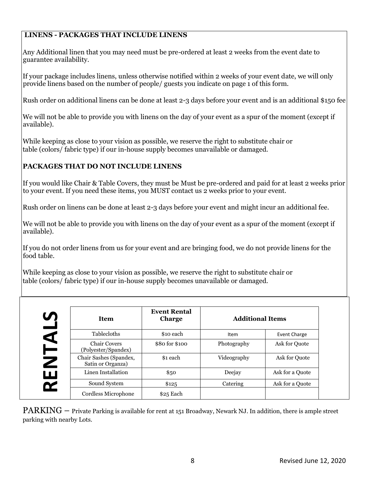#### **LINENS - PACKAGES THAT INCLUDE LINENS**

Any Additional linen that you may need must be pre-ordered at least 2 weeks from the event date to guarantee availability.

If your package includes linens, unless otherwise notified within 2 weeks of your event date, we will only provide linens based on the number of people/ guests you indicate on page 1 of this form.

Rush order on additional linens can be done at least 2-3 days before your event and is an additional \$150 fee

We will not be able to provide you with linens on the day of your event as a spur of the moment (except if available).

While keeping as close to your vision as possible, we reserve the right to substitute chair or table (colors/ fabric type) if our in-house supply becomes unavailable or damaged.

#### **PACKAGES THAT DO NOT INCLUDE LINENS**

If you would like Chair & Table Covers, they must be Must be pre-ordered and paid for at least 2 weeks prior to your event. If you need these items, you MUST contact us 2 weeks prior to your event.

Rush order on linens can be done at least 2-3 days before your event and might incur an additional fee.

We will not be able to provide you with linens on the day of your event as a spur of the moment (except if available).

If you do not order linens from us for your event and are bringing food, we do not provide linens for the food table.

While keeping as close to your vision as possible, we reserve the right to substitute chair or table (colors/ fabric type) if our in-house supply becomes unavailable or damaged.

| <b>Item</b>                                 | <b>Event Rental</b><br><b>Charge</b> | <b>Additional Items</b> |                 |
|---------------------------------------------|--------------------------------------|-------------------------|-----------------|
| Tablecloths                                 | \$10 each                            | <b>Item</b>             | Event Charge    |
| <b>Chair Covers</b><br>(Polyester/Spandex)  | \$80 for \$100                       | Photography             | Ask for Ouote   |
| Chair Sashes (Spandex,<br>Satin or Organza) | \$1 each                             | Videography             | Ask for Ouote   |
| Linen Installation                          | \$50                                 | Deejay                  | Ask for a Quote |
| Sound System                                | \$125                                | Catering                | Ask for a Quote |
| Cordless Microphone                         | \$25 Each                            |                         |                 |

 $\text{PARKING}$  – Private Parking is available for rent at 151 Broadway, Newark NJ. In addition, there is ample street